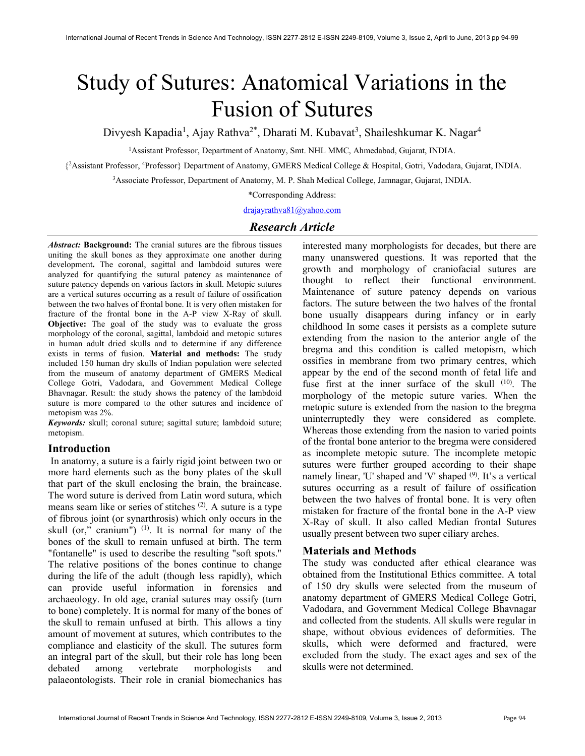# Study of Sutures: Anatomical Variations in the Fusion of Sutures

Divyesh Kapadia<sup>1</sup>, Ajay Rathva<sup>2\*</sup>, Dharati M. Kubavat<sup>3</sup>, Shaileshkumar K. Nagar<sup>4</sup>

<sup>1</sup>Assistant Professor, Department of Anatomy, Smt. NHL MMC, Ahmedabad, Gujarat, INDIA.

{<sup>2</sup>Assistant Professor, <sup>4</sup>Professor} Department of Anatomy, GMERS Medical College & Hospital, Gotri, Vadodara, Gujarat, INDIA.

<sup>3</sup>Associate Professor, Department of Anatomy, M. P. Shah Medical College, Jamnagar, Gujarat, INDIA.

\*Corresponding Address:

drajayrathva81@yahoo.com

# Research Article

Abstract: Background: The cranial sutures are the fibrous tissues uniting the skull bones as they approximate one another during development. The coronal, sagittal and lambdoid sutures were analyzed for quantifying the sutural patency as maintenance of suture patency depends on various factors in skull. Metopic sutures are a vertical sutures occurring as a result of failure of ossification between the two halves of frontal bone. It is very often mistaken for fracture of the frontal bone in the A-P view X-Ray of skull. Objective: The goal of the study was to evaluate the gross morphology of the coronal, sagittal, lambdoid and metopic sutures in human adult dried skulls and to determine if any difference exists in terms of fusion. Material and methods: The study included 150 human dry skulls of Indian population were selected from the museum of anatomy department of GMERS Medical College Gotri, Vadodara, and Government Medical College Bhavnagar. Result: the study shows the patency of the lambdoid suture is more compared to the other sutures and incidence of metopism was 2%.

Keywords: skull; coronal suture; sagittal suture; lambdoid suture; metopism.

# Introduction

 In anatomy, a suture is a fairly rigid joint between two or more hard elements such as the bony plates of the skull that part of the skull enclosing the brain, the braincase. The word suture is derived from Latin word sutura, which means seam like or series of stitches (2). A suture is a type of fibrous joint (or synarthrosis) which only occurs in the skull (or," cranium")  $(1)$ . It is normal for many of the bones of the skull to remain unfused at birth. The term "fontanelle" is used to describe the resulting "soft spots." The relative positions of the bones continue to change during the life of the adult (though less rapidly), which can provide useful information in forensics and archaeology. In old age, cranial sutures may ossify (turn to bone) completely. It is normal for many of the bones of the skull to remain unfused at birth. This allows a tiny amount of movement at sutures, which contributes to the compliance and elasticity of the skull. The sutures form an integral part of the skull, but their role has long been debated among vertebrate morphologists and palaeontologists. Their role in cranial biomechanics has

interested many morphologists for decades, but there are many unanswered questions. It was reported that the growth and morphology of craniofacial sutures are thought to reflect their functional environment. Maintenance of suture patency depends on various factors. The suture between the two halves of the frontal bone usually disappears during infancy or in early childhood In some cases it persists as a complete suture extending from the nasion to the anterior angle of the bregma and this condition is called metopism, which ossifies in membrane from two primary centres, which appear by the end of the second month of fetal life and fuse first at the inner surface of the skull (10). The morphology of the metopic suture varies. When the metopic suture is extended from the nasion to the bregma uninterruptedly they were considered as complete. Whereas those extending from the nasion to varied points of the frontal bone anterior to the bregma were considered as incomplete metopic suture. The incomplete metopic sutures were further grouped according to their shape namely linear, 'U' shaped and 'V' shaped <sup>(9)</sup>. It's a vertical sutures occurring as a result of failure of ossification between the two halves of frontal bone. It is very often mistaken for fracture of the frontal bone in the A-P view X-Ray of skull. It also called Median frontal Sutures usually present between two super ciliary arches.

## Materials and Methods

The study was conducted after ethical clearance was obtained from the Institutional Ethics committee. A total of 150 dry skulls were selected from the museum of anatomy department of GMERS Medical College Gotri, Vadodara, and Government Medical College Bhavnagar and collected from the students. All skulls were regular in shape, without obvious evidences of deformities. The skulls, which were deformed and fractured, were excluded from the study. The exact ages and sex of the skulls were not determined.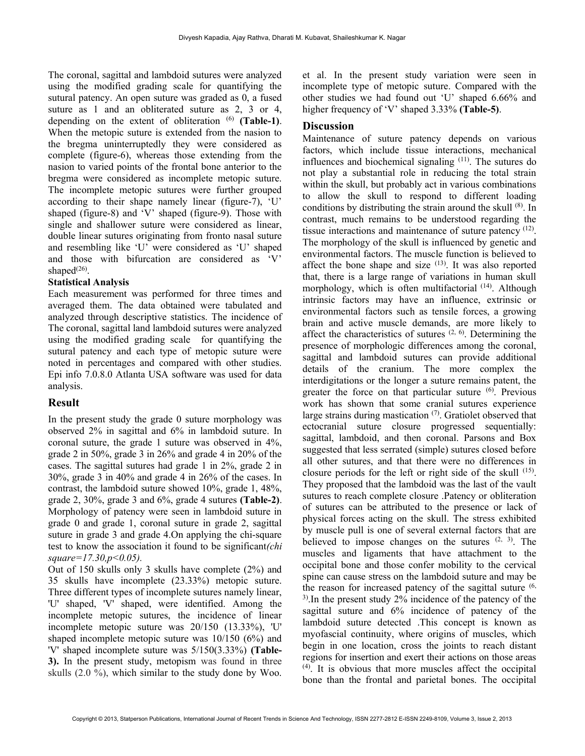The coronal, sagittal and lambdoid sutures were analyzed using the modified grading scale for quantifying the sutural patency. An open suture was graded as 0, a fused suture as 1 and an obliterated suture as 2, 3 or 4, depending on the extent of obliteration  $(6)$  (Table-1). When the metopic suture is extended from the nasion to the bregma uninterruptedly they were considered as complete (figure-6), whereas those extending from the nasion to varied points of the frontal bone anterior to the bregma were considered as incomplete metopic suture. The incomplete metopic sutures were further grouped according to their shape namely linear (figure-7), 'U' shaped (figure-8) and 'V' shaped (figure-9). Those with single and shallower suture were considered as linear, double linear sutures originating from fronto nasal suture and resembling like 'U' were considered as 'U' shaped and those with bifurcation are considered as 'V' shaped $(26)$ .

#### Statistical Analysis

Each measurement was performed for three times and averaged them. The data obtained were tabulated and analyzed through descriptive statistics. The incidence of The coronal, sagittal land lambdoid sutures were analyzed using the modified grading scale for quantifying the sutural patency and each type of metopic suture were noted in percentages and compared with other studies. Epi info 7.0.8.0 Atlanta USA software was used for data analysis.

# Result

In the present study the grade 0 suture morphology was observed 2% in sagittal and 6% in lambdoid suture. In coronal suture, the grade 1 suture was observed in 4%, grade 2 in 50%, grade 3 in 26% and grade 4 in 20% of the cases. The sagittal sutures had grade 1 in 2%, grade 2 in 30%, grade 3 in 40% and grade 4 in 26% of the cases. In contrast, the lambdoid suture showed 10%, grade 1, 48%, grade 2, 30%, grade 3 and 6%, grade 4 sutures (Table-2). Morphology of patency were seen in lambdoid suture in grade 0 and grade 1, coronal suture in grade 2, sagittal suture in grade 3 and grade 4.On applying the chi-square test to know the association it found to be significant(chi  $square=17.30, p<0.05$ ).

Out of 150 skulls only 3 skulls have complete (2%) and 35 skulls have incomplete (23.33%) metopic suture. Three different types of incomplete sutures namely linear, 'U' shaped, 'V' shaped, were identified. Among the incomplete metopic sutures, the incidence of linear incomplete metopic suture was 20/150 (13.33%), 'U' shaped incomplete metopic suture was 10/150 (6%) and 'V' shaped incomplete suture was 5/150(3.33%) (Table-3). In the present study, metopism was found in three skulls (2.0 %), which similar to the study done by Woo.

et al. In the present study variation were seen in incomplete type of metopic suture. Compared with the other studies we had found out 'U' shaped 6.66% and higher frequency of 'V' shaped 3.33% (Table-5).

## **Discussion**

Maintenance of suture patency depends on various factors, which include tissue interactions, mechanical influences and biochemical signaling (11). The sutures do not play a substantial role in reducing the total strain within the skull, but probably act in various combinations to allow the skull to respond to different loading conditions by distributing the strain around the skull (8). In contrast, much remains to be understood regarding the tissue interactions and maintenance of suture patency <sup>(12)</sup>. The morphology of the skull is influenced by genetic and environmental factors. The muscle function is believed to affect the bone shape and size  $(13)$ . It was also reported that, there is a large range of variations in human skull morphology, which is often multifactorial <sup>(14)</sup>. Although intrinsic factors may have an influence, extrinsic or environmental factors such as tensile forces, a growing brain and active muscle demands, are more likely to affect the characteristics of sutures  $(2, 6)$ . Determining the presence of morphologic differences among the coronal, sagittal and lambdoid sutures can provide additional details of the cranium. The more complex the interdigitations or the longer a suture remains patent, the greater the force on that particular suture <sup>(6)</sup>. Previous work has shown that some cranial sutures experience large strains during mastication (7). Gratiolet observed that ectocranial suture closure progressed sequentially: sagittal, lambdoid, and then coronal. Parsons and Box suggested that less serrated (simple) sutures closed before all other sutures, and that there were no differences in closure periods for the left or right side of the skull  $(15)$ . They proposed that the lambdoid was the last of the vault sutures to reach complete closure .Patency or obliteration of sutures can be attributed to the presence or lack of physical forces acting on the skull. The stress exhibited by muscle pull is one of several external factors that are believed to impose changes on the sutures  $(2, 3)$ . The muscles and ligaments that have attachment to the occipital bone and those confer mobility to the cervical spine can cause stress on the lambdoid suture and may be the reason for increased patency of the sagittal suture  $(6, 6)$ 3).In the present study 2% incidence of the patency of the sagittal suture and 6% incidence of patency of the lambdoid suture detected .This concept is known as myofascial continuity, where origins of muscles, which begin in one location, cross the joints to reach distant regions for insertion and exert their actions on those areas (4). It is obvious that more muscles affect the occipital bone than the frontal and parietal bones. The occipital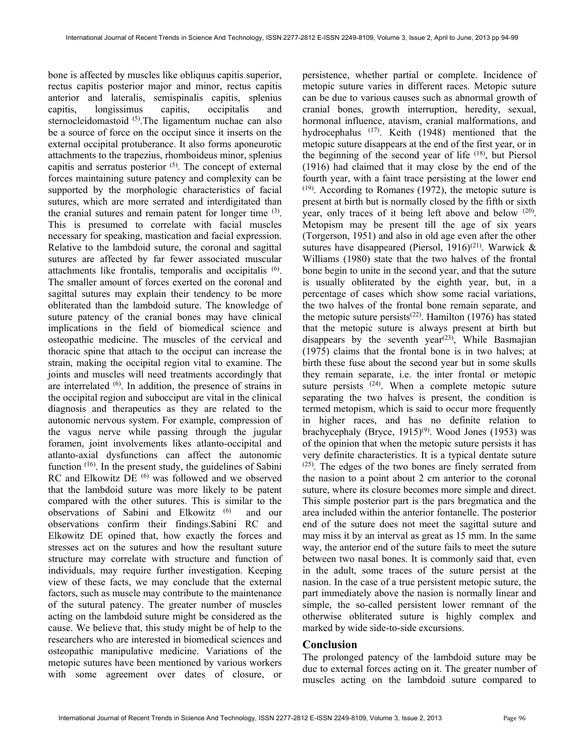bone is affected by muscles like obliquus capitis superior, rectus capitis posterior major and minor, rectus capitis anterior and lateralis, semispinalis capitis, splenius capitis, longissimus capitis, occipitalis and sternocleidomastoid <sup>(5)</sup>. The ligamentum nuchae can also be a source of force on the occiput since it inserts on the external occipital protuberance. It also forms aponeurotic attachments to the trapezius, rhomboideus minor, splenius capitis and serratus posterior (5). The concept of external forces maintaining suture patency and complexity can be supported by the morphologic characteristics of facial sutures, which are more serrated and interdigitated than the cranial sutures and remain patent for longer time <sup>(3)</sup>. This is presumed to correlate with facial muscles necessary for speaking, mastication and facial expression. Relative to the lambdoid suture, the coronal and sagittal sutures are affected by far fewer associated muscular attachments like frontalis, temporalis and occipitalis (6) . The smaller amount of forces exerted on the coronal and sagittal sutures may explain their tendency to be more obliterated than the lambdoid suture. The knowledge of suture patency of the cranial bones may have clinical implications in the field of biomedical science and osteopathic medicine. The muscles of the cervical and thoracic spine that attach to the occiput can increase the strain, making the occipital region vital to examine. The joints and muscles will need treatments accordingly that are interrelated  $(6)$ . In addition, the presence of strains in the occipital region and subocciput are vital in the clinical diagnosis and therapeutics as they are related to the autonomic nervous system. For example, compression of the vagus nerve while passing through the jugular foramen, joint involvements likes atlanto-occipital and atlanto-axial dysfunctions can affect the autonomic function (16). In the present study, the guidelines of Sabini RC and Elkowitz DE<sup>(6)</sup> was followed and we observed that the lambdoid suture was more likely to be patent compared with the other sutures. This is similar to the observations of Sabini and Elkowitz (6) and our observations confirm their findings.Sabini RC and Elkowitz DE opined that, how exactly the forces and stresses act on the sutures and how the resultant suture structure may correlate with structure and function of individuals, may require further investigation. Keeping view of these facts, we may conclude that the external factors, such as muscle may contribute to the maintenance of the sutural patency. The greater number of muscles acting on the lambdoid suture might be considered as the cause. We believe that, this study might be of help to the researchers who are interested in biomedical sciences and osteopathic manipulative medicine. Variations of the metopic sutures have been mentioned by various workers with some agreement over dates of closure, or

persistence, whether partial or complete. Incidence of metopic suture varies in different races. Metopic suture can be due to various causes such as abnormal growth of cranial bones, growth interruption, heredity, sexual, hormonal influence, atavism, cranial malformations, and hydrocephalus (17). Keith (1948) mentioned that the metopic suture disappears at the end of the first year, or in the beginning of the second year of life  $(18)$ , but Piersol (1916) had claimed that it may close by the end of the fourth year, with a faint trace persisting at the lower end  $(19)$ . According to Romanes (1972), the metopic suture is present at birth but is normally closed by the fifth or sixth year, only traces of it being left above and below <sup>(20)</sup>. Metopism may be present till the age of six years (Torgerson, 1951) and also in old age even after the other sutures have disappeared (Piersol, 1916)<sup>(21)</sup>. Warwick & Williams (1980) state that the two halves of the frontal bone begin to unite in the second year, and that the suture is usually obliterated by the eighth year, but, in a percentage of cases which show some racial variations, the two halves of the frontal bone remain separate, and the metopic suture persists<sup>(22)</sup>. Hamilton (1976) has stated that the metopic suture is always present at birth but disappears by the seventh year<sup> $(23)$ </sup>, While Basmajian (1975) claims that the frontal bone is in two halves; at birth these fuse about the second year but in some skulls they remain separate, i.e. the inter frontal or metopic suture persists <sup>(24)</sup>. When a complete metopic suture separating the two halves is present, the condition is termed metopism, which is said to occur more frequently in higher races, and has no definite relation to brachycephaly (Bryce,  $1915$ <sup>(9)</sup>. Wood Jones (1953) was of the opinion that when the metopic suture persists it has very definite characteristics. It is a typical dentate suture (25). The edges of the two bones are finely serrated from the nasion to a point about 2 cm anterior to the coronal suture, where its closure becomes more simple and direct. This simple posterior part is the pars bregmatica and the area included within the anterior fontanelle. The posterior end of the suture does not meet the sagittal suture and may miss it by an interval as great as 15 mm. In the same way, the anterior end of the suture fails to meet the suture between two nasal bones. It is commonly said that, even in the adult, some traces of the suture persist at the nasion. In the case of a true persistent metopic suture, the part immediately above the nasion is normally linear and simple, the so-called persistent lower remnant of the otherwise obliterated suture is highly complex and marked by wide side-to-side excursions.

### Conclusion

The prolonged patency of the lambdoid suture may be due to external forces acting on it. The greater number of muscles acting on the lambdoid suture compared to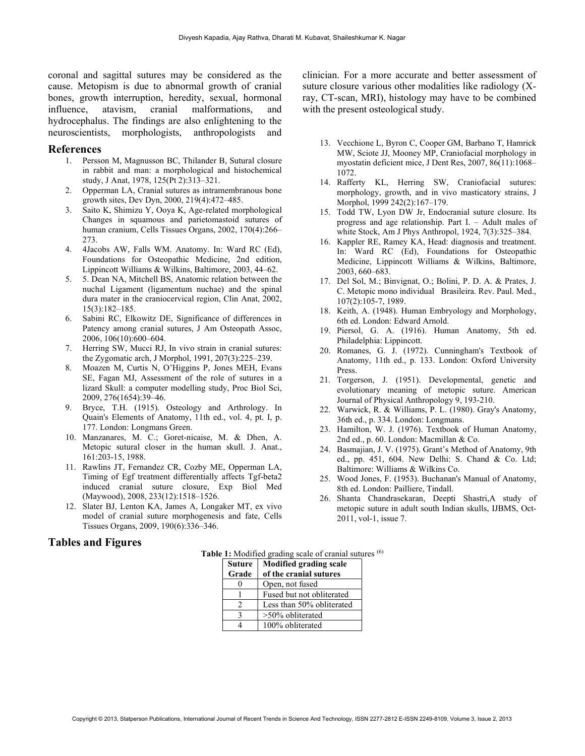coronal and sagittal sutures may be considered as the cause. Metopism is due to abnormal growth of cranial bones, growth interruption, heredity, sexual, hormonal influence, atavism, cranial malformations, and hydrocephalus. The findings are also enlightening to the neuroscientists, morphologists, anthropologists and

#### References

- 1. Persson M, Magnusson BC, Thilander B, Sutural closure in rabbit and man: a morphological and histochemical study, J Anat, 1978, 125(Pt 2):313–321.
- 2. Opperman LA, Cranial sutures as intramembranous bone growth sites, Dev Dyn, 2000, 219(4):472–485.
- 3. Saito K, Shimizu Y, Ooya K, Age-related morphological Changes in squamous and parietomastoid sutures of human cranium, Cells Tissues Organs, 2002, 170(4):266– 273.
- 4. 4Jacobs AW, Falls WM. Anatomy. In: Ward RC (Ed), Foundations for Osteopathic Medicine, 2nd edition, Lippincott Williams & Wilkins, Baltimore, 2003, 44–62.
- 5. 5. Dean NA, Mitchell BS, Anatomic relation between the nuchal Ligament (ligamentum nuchae) and the spinal dura mater in the craniocervical region, Clin Anat, 2002, 15(3):182–185.
- 6. Sabini RC, Elkowitz DE, Significance of differences in Patency among cranial sutures, J Am Osteopath Assoc, 2006, 106(10):600–604.
- 7. Herring SW, Mucci RJ, In vivo strain in cranial sutures: the Zygomatic arch, J Morphol, 1991, 207(3):225–239.
- 8. Moazen M, Curtis N, O'Higgins P, Jones MEH, Evans SE, Fagan MJ, Assessment of the role of sutures in a lizard Skull: a computer modelling study, Proc Biol Sci, 2009, 276(1654):39–46.
- 9. Bryce, T.H. (1915). Osteology and Arthrology. In Quain's Elements of Anatomy, 11th ed., vol. 4, pt. I, p. 177. London: Longmans Green.
- 10. Manzanares, M. C.; Goret-nicaise, M. & Dhen, A. Metopic sutural closer in the human skull. J. Anat., 161:203-15, 1988.
- 11. Rawlins JT, Fernandez CR, Cozby ME, Opperman LA, Timing of Egf treatment differentially affects Tgf-beta2 induced cranial suture closure, Exp Biol Med (Maywood), 2008, 233(12):1518–1526.
- 12. Slater BJ, Lenton KA, James A, Longaker MT, ex vivo model of cranial suture morphogenesis and fate, Cells Tissues Organs, 2009, 190(6):336–346.

#### Tables and Figures

clinician. For a more accurate and better assessment of suture closure various other modalities like radiology (Xray, CT-scan, MRI), histology may have to be combined with the present osteological study.

- 13. Vecchione L, Byron C, Cooper GM, Barbano T, Hamrick MW, Sciote JJ, Mooney MP, Craniofacial morphology in myostatin deficient mice, J Dent Res, 2007, 86(11):1068– 1072.
- 14. Rafferty KL, Herring SW, Craniofacial sutures: morphology, growth, and in vivo masticatory strains, J Morphol, 1999 242(2):167–179.
- 15. Todd TW, Lyon DW Jr, Endocranial suture closure. Its progress and age relationship. Part I. – Adult males of white Stock, Am J Phys Anthropol, 1924, 7(3):325–384.
- 16. Kappler RE, Ramey KA, Head: diagnosis and treatment. In: Ward RC (Ed), Foundations for Osteopathic Medicine, Lippincott Williams & Wilkins, Baltimore, 2003, 660–683.
- 17. Del Sol, M.; Binvignat, O.; Bolini, P. D. A. & Prates, J. C. Metopic mono individual Brasileira. Rev. Paul. Med., 107(2):105-7, 1989.
- 18. Keith, A. (1948). Human Embryology and Morphology, 6th ed. London: Edward Arnold.
- 19. Piersol, G. A. (1916). Human Anatomy, 5th ed. Philadelphia: Lippincott.
- 20. Romanes, G. J. (1972). Cunningham's Textbook of Anatomy, 11th ed., p. 133. London: Oxford University Press.
- 21. Torgerson, J. (1951). Developmental, genetic and evolutionary meaning of metopic suture. American Journal of Physical Anthropology 9, 193-210.
- 22. Warwick, R. & Williams, P. L. (1980). Gray's Anatomy, 36th ed., p. 334. London: Longmans.
- 23. Hamilton, W. J. (1976). Textbook of Human Anatomy, 2nd ed., p. 60. London: Macmillan & Co.
- 24. Basmajian, J. V. (1975). Grant's Method of Anatomy, 9th ed., pp. 451, 604. New Delhi: S. Chand & Co. Ltd; Baltimore: Williams & Wilkins Co.
- 25. Wood Jones, F. (1953). Buchanan's Manual of Anatomy, 8th ed. London: Pailliere, Tindall.
- 26. Shanta Chandrasekaran, Deepti Shastri,A study of metopic suture in adult south Indian skulls, IJBMS, Oct-2011, vol-1, issue 7.

| <b>Suture</b><br>Grade | <b>Modified grading scale</b><br>of the cranial sutures |
|------------------------|---------------------------------------------------------|
|                        | Open, not fused                                         |
|                        | Fused but not obliterated                               |
| 2                      | Less than 50% obliterated                               |
|                        | $>50\%$ obliterated                                     |
|                        | 100% obliterated                                        |

Table 1: Modified grading scale of cranial sutures <sup>(6)</sup>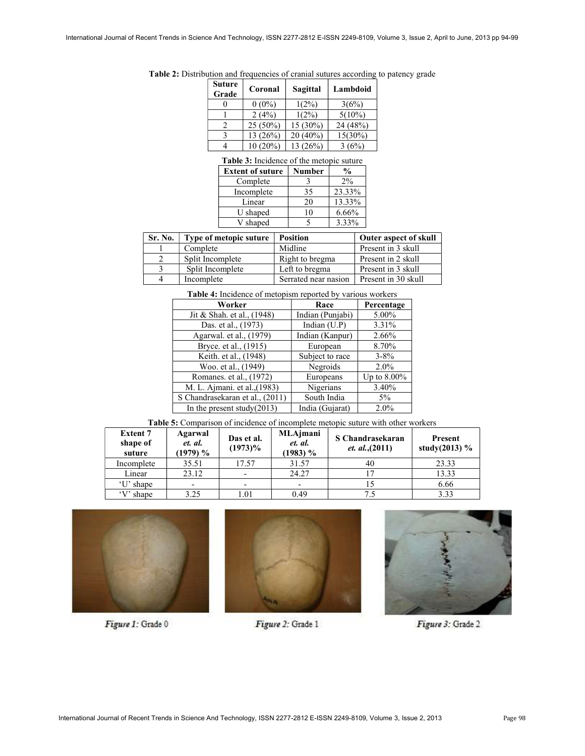| Suture<br>Coronal<br>Grade |          | Lambdoid   |  |
|----------------------------|----------|------------|--|
| $0(0\%)$                   | $1(2\%)$ | 3(6%)      |  |
| 2(4%)                      | $1(2\%)$ | $5(10\%)$  |  |
| $25(50\%)$                 | 15 (30%) | 24 (48%)   |  |
| 13 (26%)                   | 20 (40%) | $15(30\%)$ |  |
| 10 (20%)                   | 13 (26%) | 3(6%)      |  |
|                            |          | Sagittal   |  |

Table 2: Distribution and frequencies of cranial sutures according to patency grade

#### Table 3: Incidence of the metopic suture

| <b>Extent of suture</b> | <b>Number</b> | $\frac{6}{9}$ |
|-------------------------|---------------|---------------|
| Complete                |               | 2%            |
| Incomplete              | 35            | 23.33%        |
| Linear                  | 20            | 13.33%        |
| U shaped                | $\Omega$      | 6.66%         |
| V shaped                |               | 3.33%         |

| Sr. No. | Type of metopic suture | <b>Position</b>      | <b>Outer aspect of skull</b> |
|---------|------------------------|----------------------|------------------------------|
|         | Complete               | Midline              | Present in 3 skull           |
|         | Split Incomplete       | Right to bregma      | Present in 2 skull           |
|         | Split Incomplete       | Left to bregma       | Present in 3 skull           |
|         | Incomplete             | Serrated near nasion | Present in 30 skull          |

Table 4: Incidence of metopism reported by various workers

| Worker                          | Race             | Percentage     |
|---------------------------------|------------------|----------------|
| Jit & Shah. et al., (1948)      | Indian (Punjabi) | 5.00%          |
| Das. et al., (1973)             | Indian (U.P)     | 3.31%          |
| Agarwal. et al., (1979)         | Indian (Kanpur)  | 2.66%          |
| Bryce. et al., (1915)           | European         | 8.70%          |
| Keith. et al., (1948)           | Subject to race  | $3 - 8\%$      |
| Woo. et al., (1949)             | Negroids         | $2.0\%$        |
| Romanes. et al., (1972)         | Europeans        | Up to $8.00\%$ |
| M. L. Ajmani. et al., (1983)    | Nigerians        | 3.40%          |
| S Chandrasekaran et al., (2011) | South India      | $5\%$          |
| In the present study $(2013)$   | India (Gujarat)  | 2.0%           |

Table 5: Comparison of incidence of incomplete metopic suture with other workers

| <b>Extent 7</b><br>shape of<br>suture | Agarwal<br>et. al.<br>(1979) % | Das et al.<br>$(1973)\%$ | MLAjmani<br>et. al.<br>$(1983)$ % | S Chandrasekaran<br><i>et. al.</i> , (2011) | Present<br>study $(2013)$ % |
|---------------------------------------|--------------------------------|--------------------------|-----------------------------------|---------------------------------------------|-----------------------------|
| Incomplete                            | 35.51                          | 17.57                    | 31.57                             | 40                                          | 23.33                       |
| Linear                                | 23.12                          | $\overline{\phantom{a}}$ | 24.27                             |                                             | 13.33                       |
| 'U' shape                             |                                | -                        | -                                 |                                             | 6.66                        |
| 'V' shape                             | 3.25                           | 1.01                     | 0.49                              | 7.5                                         | 3.33                        |



Figure 1: Grade 0







Figure 3: Grade 2